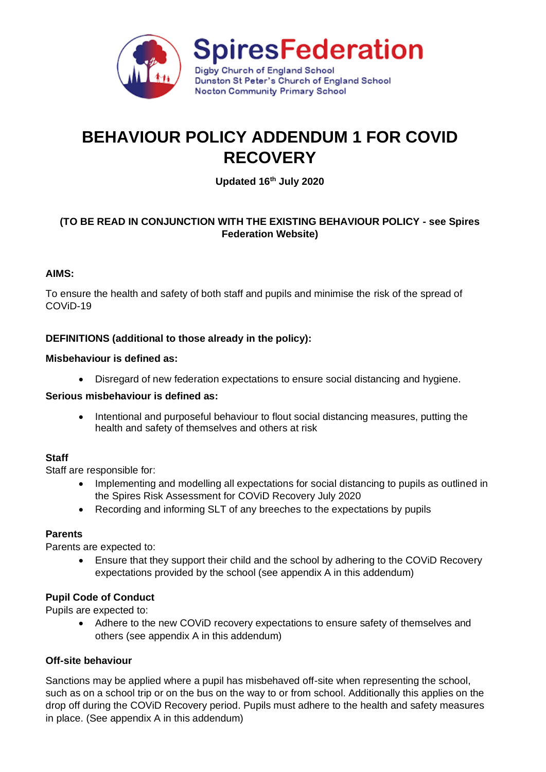

# **BEHAVIOUR POLICY ADDENDUM 1 FOR COVID RECOVERY**

**Updated 16th July 2020**

# **(TO BE READ IN CONJUNCTION WITH THE EXISTING BEHAVIOUR POLICY - see Spires Federation Website)**

#### **AIMS:**

To ensure the health and safety of both staff and pupils and minimise the risk of the spread of COViD-19

# **DEFINITIONS (additional to those already in the policy):**

#### **Misbehaviour is defined as:**

• Disregard of new federation expectations to ensure social distancing and hygiene.

#### **Serious misbehaviour is defined as:**

• Intentional and purposeful behaviour to flout social distancing measures, putting the health and safety of themselves and others at risk

#### **Staff**

Staff are responsible for:

- Implementing and modelling all expectations for social distancing to pupils as outlined in the Spires Risk Assessment for COViD Recovery July 2020
- Recording and informing SLT of any breeches to the expectations by pupils

#### **Parents**

Parents are expected to:

• Ensure that they support their child and the school by adhering to the COVID Recovery expectations provided by the school (see appendix A in this addendum)

# **Pupil Code of Conduct**

Pupils are expected to:

• Adhere to the new COViD recovery expectations to ensure safety of themselves and others (see appendix A in this addendum)

#### **Off-site behaviour**

Sanctions may be applied where a pupil has misbehaved off-site when representing the school, such as on a school trip or on the bus on the way to or from school. Additionally this applies on the drop off during the COViD Recovery period. Pupils must adhere to the health and safety measures in place. (See appendix A in this addendum)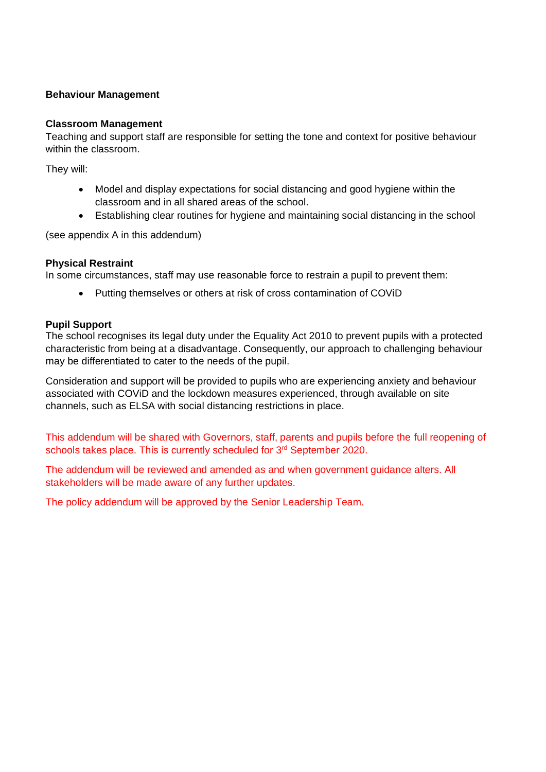#### **Behaviour Management**

#### **Classroom Management**

Teaching and support staff are responsible for setting the tone and context for positive behaviour within the classroom.

They will:

- Model and display expectations for social distancing and good hygiene within the classroom and in all shared areas of the school.
- Establishing clear routines for hygiene and maintaining social distancing in the school

(see appendix A in this addendum)

#### **Physical Restraint**

In some circumstances, staff may use reasonable force to restrain a pupil to prevent them:

• Putting themselves or others at risk of cross contamination of COViD

#### **Pupil Support**

The school recognises its legal duty under the Equality Act 2010 to prevent pupils with a protected characteristic from being at a disadvantage. Consequently, our approach to challenging behaviour may be differentiated to cater to the needs of the pupil.

Consideration and support will be provided to pupils who are experiencing anxiety and behaviour associated with COViD and the lockdown measures experienced, through available on site channels, such as ELSA with social distancing restrictions in place.

This addendum will be shared with Governors, staff, parents and pupils before the full reopening of schools takes place. This is currently scheduled for 3<sup>rd</sup> September 2020.

The addendum will be reviewed and amended as and when government guidance alters. All stakeholders will be made aware of any further updates.

The policy addendum will be approved by the Senior Leadership Team.